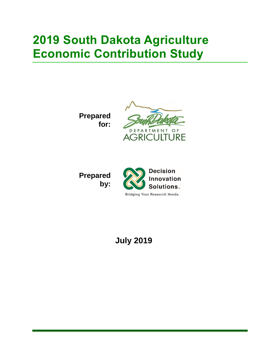# **2019 South Dakota Agriculture Economic Contribution Study**

**Prepared for:**



**Prepared by:**



**July 2019**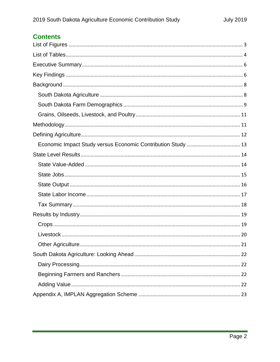## **Contents**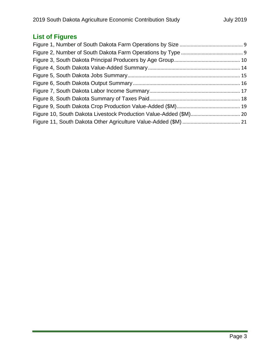# <span id="page-2-0"></span>**List of Figures**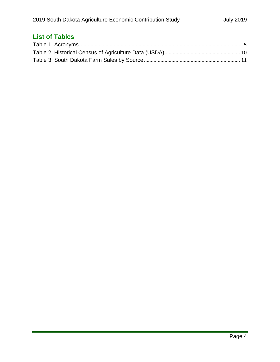# <span id="page-3-0"></span>**List of Tables**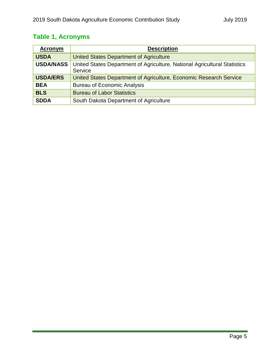## **Table 1, Acronyms**

| Acronym          | <b>Description</b>                                                                   |
|------------------|--------------------------------------------------------------------------------------|
| <b>USDA</b>      | United States Department of Agriculture                                              |
| <b>USDA/NASS</b> | United States Department of Agriculture, National Agricultural Statistics<br>Service |
| <b>USDA/ERS</b>  | United States Department of Agriculture, Economic Research Service                   |
| <b>BEA</b>       | <b>Bureau of Economic Analysis</b>                                                   |
| <b>BLS</b>       | <b>Bureau of Labor Statistics</b>                                                    |
| <b>SDDA</b>      | South Dakota Department of Agriculture                                               |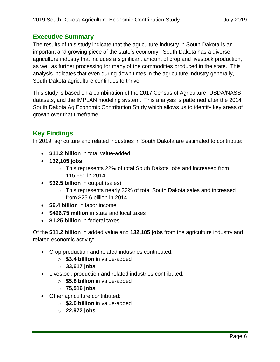## <span id="page-5-0"></span>**Executive Summary**

The results of this study indicate that the agriculture industry in South Dakota is an important and growing piece of the state's economy. South Dakota has a diverse agriculture industry that includes a significant amount of crop and livestock production, as well as further processing for many of the commodities produced in the state. This analysis indicates that even during down times in the agriculture industry generally, South Dakota agriculture continues to thrive.

This study is based on a combination of the 2017 Census of Agriculture, USDA/NASS datasets, and the IMPLAN modeling system. This analysis is patterned after the 2014 South Dakota Ag Economic Contribution Study which allows us to identify key areas of growth over that timeframe.

## <span id="page-5-1"></span>**Key Findings**

In 2019, agriculture and related industries in South Dakota are estimated to contribute:

- **\$11.2 billion** in total value-added
- **132,105 jobs**
	- o This represents 22% of total South Dakota jobs and increased from 115,651 in 2014.
- **\$32.5 billion** in output (sales)
	- o This represents nearly 33% of total South Dakota sales and increased from \$25.6 billion in 2014.
- **\$6.4 billion** in labor income
- **\$496.75 million** in state and local taxes
- **\$1.25 billion** in federal taxes

Of the **\$11.2 billion** in added value and **132,105 jobs** from the agriculture industry and related economic activity:

- Crop production and related industries contributed:
	- o **\$3.4 billion** in value-added
	- o **33,617 jobs**
- Livestock production and related industries contributed:
	- o **\$5.8 billion** in value-added
	- o **75,516 jobs**
- Other agriculture contributed:
	- o **\$2.0 billion** in value-added
	- o **22,972 jobs**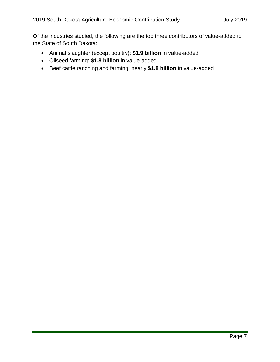Of the industries studied, the following are the top three contributors of value-added to the State of South Dakota:

- Animal slaughter (except poultry): **\$1.9 billion** in value-added
- Oilseed farming: **\$1.8 billion** in value-added
- Beef cattle ranching and farming: nearly **\$1.8 billion** in value-added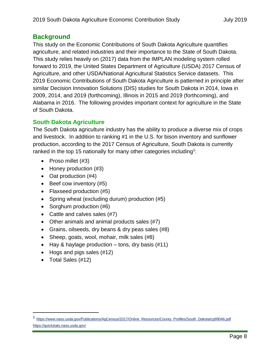## <span id="page-7-0"></span>**Background**

This study on the Economic Contributions of South Dakota Agriculture quantifies agriculture, and related industries and their importance to the State of South Dakota. This study relies heavily on (2017) data from the IMPLAN modeling system rolled forward to 2019, the United States Department of Agriculture (USDA) 2017 Census of Agriculture, and other USDA/National Agricultural Statistics Service datasets. This 2019 Economic Contributions of South Dakota Agriculture is patterned in principle after similar Decision Innovation Solutions (DIS) studies for South Dakota in 2014, Iowa in 2009, 2014, and 2019 (forthcoming), Illinois in 2015 and 2019 (forthcoming), and Alabama in 2016. The following provides important context for agriculture in the State of South Dakota.

### <span id="page-7-1"></span>**South Dakota Agriculture**

The South Dakota agriculture industry has the ability to produce a diverse mix of crops and livestock. In addition to ranking #1 in the U.S. for bison inventory and sunflower production, according to the 2017 Census of Agriculture, South Dakota is currently ranked in the top 15 nationally for many other categories including<sup>1</sup>:

- Proso millet (#3)
- Honey production (#3)
- Oat production (#4)
- Beef cow inventory (#5)
- Flaxseed production (#5)
- Spring wheat (excluding durum) production (#5)
- Sorghum production (#6)
- Cattle and calves sales (#7)
- Other animals and animal products sales (#7)
- Grains, oilseeds, dry beans & dry peas sales (#8)
- Sheep, goats, wool, mohair, milk sales (#8)
- $\bullet$  Hay & haylage production tons, dry basis (#11)
- Hogs and pigs sales (#12)
- Total Sales (#12)

 $\overline{a}$ 

<sup>1</sup> [https://www.nass.usda.gov/Publications/AgCensus/2017/Online\\_Resources/County\\_Profiles/South\\_Dakota/cp99046.pdf](https://www.nass.usda.gov/Publications/AgCensus/2017/Online_Resources/County_Profiles/South_Dakota/cp99046.pdf) <https://quickstats.nass.usda.gov/>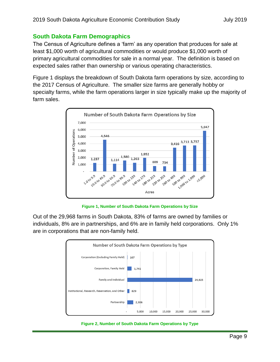#### <span id="page-8-0"></span>**South Dakota Farm Demographics**

The Census of Agriculture defines a 'farm' as any operation that produces for sale at least \$1,000 worth of agricultural commodities or would produce \$1,000 worth of primary agricultural commodities for sale in a normal year. The definition is based on expected sales rather than ownership or various operating characteristics.

[Figure 1](#page-8-1) displays the breakdown of South Dakota farm operations by size, according to the 2017 Census of Agriculture. The smaller size farms are generally hobby or specialty farms, while the farm operations larger in size typically make up the majority of farm sales.



**Figure 1, Number of South Dakota Farm Operations by Size**

<span id="page-8-1"></span>Out of the 29,968 farms in South Dakota, 83% of farms are owned by families or individuals, 8% are in partnerships, and 6% are in family held corporations. Only 1% are in corporations that are non-family held.



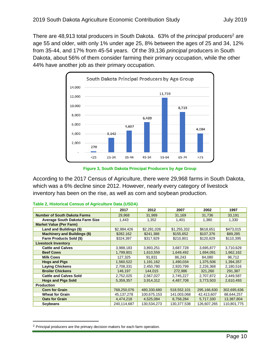There are 48,913 total producers in South Dakota. 63% of the *principal* producers<sup>2</sup> are age 55 and older, with only 1% under age 25, 8% between the ages of 25 and 34, 12% from 35-44, and 17% from 45-54 years. Of the 39,136 *principal* producers in South Dakota, about 56% of them consider farming their primary occupation, while the other 44% have another job as their primary occupation.



**Figure 3, South Dakota Principal Producers by Age Group**

According to the 2017 Census of Agriculture, there were 29,968 farms in South Dakota, which was a 6% decline since 2012. However, nearly every category of livestock inventory has been on the rise, as well as corn and soybean production.

|                                       | 2017         | 2012        | 2007        | 2002        | 1997        |  |  |
|---------------------------------------|--------------|-------------|-------------|-------------|-------------|--|--|
| <b>Number of South Dakota Farms</b>   | 29,968       | 31,989      | 31,169      | 31,736      | 33,191      |  |  |
| <b>Average South Dakota Farm Size</b> | 1,443        | 1,352       | 1,401       | 1,380       | 1,330       |  |  |
| <b>Market Value (Per Farm)</b>        |              |             |             |             |             |  |  |
| Land and Buildings (\$)               | \$2,984,426  | \$2,281,026 | \$1,255,332 | \$618,651   | \$473,015   |  |  |
| <b>Machinery and Buildings (\$)</b>   | \$282,162    | \$241,388   | \$155,652   | \$107,376   | \$89,285    |  |  |
| Farm Products Sold (\$)               | \$324,397    | \$317,929   | \$210,801   | \$120,829   | \$110,395   |  |  |
| <b>Livestock Inventory</b>            |              |             |             |             |             |  |  |
| <b>Cattle and Calves</b>              | 3,988,183    | 3,893,251   | 3,687,728   | 3,695,877   | 3,710,629   |  |  |
| <b>Beef Cows</b>                      | 1,799,801    | 1,610,559   | 1,649,492   | 1,694,091   | 1,662,162   |  |  |
| <b>Milk Cows</b>                      | 127,325      | 91,831      | 86,243      | 84,080      | 96,712      |  |  |
| <b>Hogs and Pigs</b>                  | 1,560,522    | 1,191,162   | 1,490,034   | 1,375,506   | 1,394,357   |  |  |
| <b>Laying Chickens</b>                | 2,708,331    | 2,450,780   | 2,920,799   | 2,226,368   | 2,180,516   |  |  |
| <b>Broiler Chickens</b>               | 146,197      | 144,015     | 272,986     | 321,260     | 291,387     |  |  |
| <b>Cattle and Calves Sold</b>         | 2,752,025    | 2,567,027   | 2,745,227   | 2,707,872   | 2,449,587   |  |  |
| <b>Hogs and Pigs Sold</b>             | 5,359,357    | 3,914,312   | 4,487,708   | 3,773,503   | 2,610,493   |  |  |
| <b>Production</b>                     |              |             |             |             |             |  |  |
| <b>Corn for Grain</b>                 | 768,250,076  | 480,330,680 | 518,552,101 | 295,166,830 | 302,695,636 |  |  |
| <b>Wheat for Grain</b>                | 45, 137, 278 | 100,675,153 | 141,003,068 | 42,413,607  | 88,644,257  |  |  |
| <b>Oats for Grain</b>                 | 4,474,218    | 4,525,084   | 8,758,284   | 5,717,330   | 13,387,804  |  |  |
| Soybeans                              | 240,114,687  | 130,534,273 | 130,377,538 | 126,607,265 | 110,801,775 |  |  |

|  | Table 2, Historical Census of Agriculture Data (USDA) |  |
|--|-------------------------------------------------------|--|
|  |                                                       |  |

 $\overline{a}$ <sup>2</sup> Principal producers are the primary decision makers for each farm operation.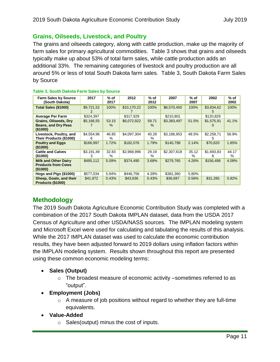#### <span id="page-10-0"></span>**Grains, Oilseeds, Livestock, and Poultry**

The grains and oilseeds category, along with cattle production, make up the majority of farm sales for primary agricultural commodities. [Table 3](#page-10-2) shows that grains and oilseeds typically make up about 53% of total farm sales, while cattle production adds an additional 33%. The remaining categories of livestock and poultry production are all around 5% or less of total South Dakota farm sales. Table 3, [South Dakota Farm Sales](#page-10-2)  [by Source](#page-10-2)

| <b>Farm Sales by Source</b><br>(South Dakota)                             | 2017            | $%$ of<br>2017 | 2012        | $%$ of<br>2012 | 2007        | $%$ of<br>2007 | 2002            | % of<br>2002  |
|---------------------------------------------------------------------------|-----------------|----------------|-------------|----------------|-------------|----------------|-----------------|---------------|
| Total Sales (\$1000)                                                      | \$9,721,52      | 100%           | \$10,170,22 | 100%           | \$6,570,450 | 100%           | \$3,834,62<br>5 | 100%          |
| <b>Average Per Farm</b>                                                   | \$324,397       |                | \$317,929   |                | \$210,801   |                | \$120,829       |               |
| <b>Grains, Oilseeds, Dry</b><br><b>Beans, and Dry Peas</b><br>$($ \$1000) | \$5,166,55      | 53.15<br>$\%$  | \$6,072,922 | 59.71<br>$\%$  | \$3,383,497 | 51.5%          | \$1,575,91      | 41.1%         |
| Livestock, Poultry, and<br>Their Products (\$1000)                        | \$4,554,96<br>6 | 46.85<br>$\%$  | \$4,097,304 | 40.29<br>℅     | \$3,186,953 | 48.5%          | \$2,258,71<br>5 | 58.9%         |
| <b>Poultry and Eggs</b><br>(\$1000)                                       | \$166,997       | 1.72%          | \$182,076   | 1.79%          | \$140,798   | 2.14%          | \$70,820        | 1.85%         |
| <b>Cattle and Calves</b><br>(\$1000)                                      | \$3,191,49<br>3 | 32.83<br>℅     | \$2,968,996 | 29.19<br>℅     | \$2,307,618 | 35.12<br>$\%$  | \$1,693,83<br>8 | 44.17<br>$\%$ |
| <b>Milk and Other Dairy</b><br><b>Products from Cows</b><br>$($ \$1000)   | \$495,112       | 5.09%          | \$374,490   | 3.68%          | \$279,765   | 4.26%          | \$156,498       | 4.08%         |
| Hogs and Pigs (\$1000)                                                    | \$577,034       | 5.94%          | \$446,756   | 4.39%          | \$381,360   | 5.80%          |                 |               |
| Sheep, Goats, and their<br>Products (\$1000)                              | \$41,972        | 0.43%          | \$43,636    | 0.43%          | \$36,697    | 0.56%          | \$31,285        | 0.82%         |

#### <span id="page-10-2"></span>**Table 3, South Dakota Farm Sales by Source**

## <span id="page-10-1"></span>**Methodology**

The 2019 South Dakota Agriculture Economic Contribution Study was completed with a combination of the 2017 South Dakota IMPLAN dataset, data from the USDA 2017 Census of Agriculture and other USDA/NASS sources. The IMPLAN modeling system and Microsoft Excel were used for calculating and tabulating the results of this analysis. While the 2017 IMPLAN dataset was used to calculate the economic contribution results, they have been adjusted forward to 2019 dollars using inflation factors within the IMPLAN modeling system. Results shown throughout this report are presented using these common economic modeling terms:

- **Sales (Output)**
	- $\circ$  The broadest measure of economic activity –sometimes referred to as "output".
- **Employment (Jobs)**
	- $\circ$  A measure of job positions without regard to whether they are full-time equivalents.
- **Value-Added**
	- $\circ$  Sales(output) minus the cost of inputs.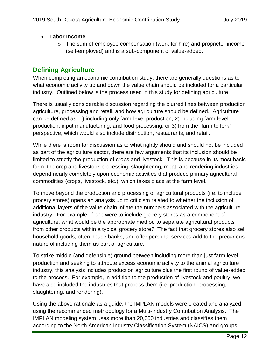#### • **Labor Income**

 $\circ$  The sum of employee compensation (work for hire) and proprietor income (self-employed) and is a sub-component of value-added.

## <span id="page-11-0"></span>**Defining Agriculture**

When completing an economic contribution study, there are generally questions as to what economic activity up and down the value chain should be included for a particular industry. Outlined below is the process used in this study for defining agriculture.

There is usually considerable discussion regarding the blurred lines between production agriculture, processing and retail, and how agriculture should be defined. Agriculture can be defined as: 1) including only farm-level production, 2) including farm-level production, input manufacturing, and food processing, or 3) from the "farm to fork" perspective, which would also include distribution, restaurants, and retail.

While there is room for discussion as to what rightly should and should not be included as part of the agriculture sector, there are few arguments that its inclusion should be limited to strictly the production of crops and livestock. This is because in its most basic form, the crop and livestock processing, slaughtering, meat, and rendering industries depend nearly completely upon economic activities that produce primary agricultural commodities (crops, livestock, etc.), which takes place at the farm level.

To move beyond the production and processing of agricultural products (i.e. to include grocery stores) opens an analysis up to criticism related to whether the inclusion of additional layers of the value chain inflate the numbers associated with the agriculture industry. For example, if one were to include grocery stores as a component of agriculture, what would be the appropriate method to separate agricultural products from other products within a typical grocery store? The fact that grocery stores also sell household goods, often house banks, and offer personal services add to the precarious nature of including them as part of agriculture.

To strike middle (and defensible) ground between including more than just farm level production and seeking to attribute excess economic activity to the animal agriculture industry, this analysis includes production agriculture plus the first round of value-added to the process. For example, in addition to the production of livestock and poultry, we have also included the industries that process them (i.e. production, processing, slaughtering, and rendering).

Using the above rationale as a guide, the IMPLAN models were created and analyzed using the recommended methodology for a Multi-Industry Contribution Analysis. The IMPLAN modeling system uses more than 20,000 industries and classifies them according to the North American Industry Classification System (NAICS) and groups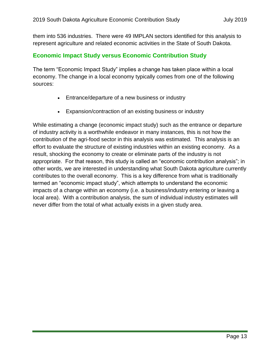them into 536 industries. There were 49 IMPLAN sectors identified for this analysis to represent agriculture and related economic activities in the State of South Dakota.

#### <span id="page-12-0"></span>**Economic Impact Study versus Economic Contribution Study**

The term "Economic Impact Study" implies a change has taken place within a local economy. The change in a local economy typically comes from one of the following sources:

- Entrance/departure of a new business or industry
- Expansion/contraction of an existing business or industry

While estimating a change (economic impact study) such as the entrance or departure of industry activity is a worthwhile endeavor in many instances, this is not how the contribution of the agri-food sector in this analysis was estimated. This analysis is an effort to evaluate the structure of existing industries within an existing economy. As a result, shocking the economy to create or eliminate parts of the industry is not appropriate. For that reason, this study is called an "economic contribution analysis"; in other words, we are interested in understanding what South Dakota agriculture currently contributes to the overall economy. This is a key difference from what is traditionally termed an "economic impact study", which attempts to understand the economic impacts of a change within an economy (i.e. a business/industry entering or leaving a local area). With a contribution analysis, the sum of individual industry estimates will never differ from the total of what actually exists in a given study area.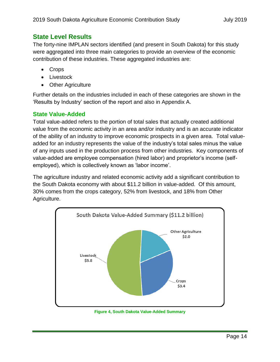## <span id="page-13-0"></span>**State Level Results**

The forty-nine IMPLAN sectors identified (and present in South Dakota) for this study were aggregated into three main categories to provide an overview of the economic contribution of these industries. These aggregated industries are:

- Crops
- Livestock
- Other Agriculture

Further details on the industries included in each of these categories are shown in the 'Results by Industry' section of the report and also in Appendix A.

#### <span id="page-13-1"></span>**State Value-Added**

Total value-added refers to the portion of total sales that actually created additional value from the economic activity in an area and/or industry and is an accurate indicator of the ability of an industry to improve economic prospects in a given area. Total valueadded for an industry represents the value of the industry's total sales minus the value of any inputs used in the production process from other industries. Key components of value-added are employee compensation (hired labor) and proprietor's income (selfemployed), which is collectively known as 'labor income'.

The agriculture industry and related economic activity add a significant contribution to the South Dakota economy with about \$11.2 billion in value-added. Of this amount, 30% comes from the crops category, 52% from livestock, and 18% from Other Agriculture.



**Figure 4, South Dakota Value-Added Summary**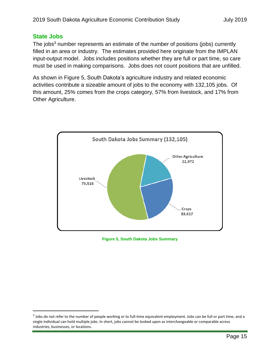#### <span id="page-14-0"></span>**State Jobs**

 $\overline{a}$ 

The jobs<sup>3</sup> number represents an estimate of the number of positions (jobs) currently filled in an area or industry. The estimates provided here originate from the IMPLAN input-output model. Jobs includes positions whether they are full or part time, so care must be used in making comparisons. Jobs does not count positions that are unfilled.

As shown in [Figure 5,](#page-14-1) South Dakota's agriculture industry and related economic activities contribute a sizeable amount of jobs to the economy with 132,105 jobs. Of this amount, 25% comes from the crops category, 57% from livestock, and 17% from Other Agriculture.



<span id="page-14-1"></span>**Figure 5, South Dakota Jobs Summary**

<sup>&</sup>lt;sup>3</sup> Jobs do not refer to the number of people working or to full-time equivalent employment. Jobs can be full or part time, and a single individual can hold multiple jobs. In short, jobs cannot be looked upon as interchangeable or comparable across industries, businesses, or locations.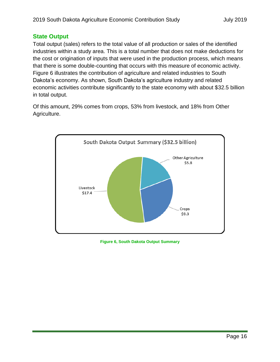#### <span id="page-15-0"></span>**State Output**

Total output (sales) refers to the total value of all production or sales of the identified industries within a study area. This is a total number that does not make deductions for the cost or origination of inputs that were used in the production process, which means that there is some double-counting that occurs with this measure of economic activity. [Figure 6](#page-15-1) illustrates the contribution of agriculture and related industries to South Dakota's economy. As shown, South Dakota's agriculture industry and related economic activities contribute significantly to the state economy with about \$32.5 billion in total output.

Of this amount, 29% comes from crops, 53% from livestock, and 18% from Other Agriculture.



<span id="page-15-1"></span>**Figure 6, South Dakota Output Summary**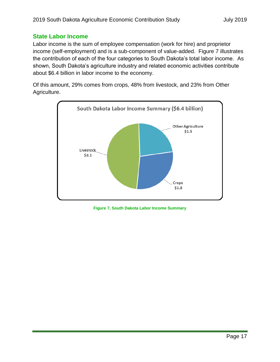#### <span id="page-16-0"></span>**State Labor Income**

Labor income is the sum of employee compensation (work for hire) and proprietor income (self-employment) and is a sub-component of value-added. [Figure 7](#page-16-1) illustrates the contribution of each of the four categories to South Dakota's total labor income. As shown, South Dakota's agriculture industry and related economic activities contribute about \$6.4 billion in labor income to the economy.

Of this amount, 29% comes from crops, 48% from livestock, and 23% from Other Agriculture.



<span id="page-16-1"></span>**Figure 7, South Dakota Labor Income Summary**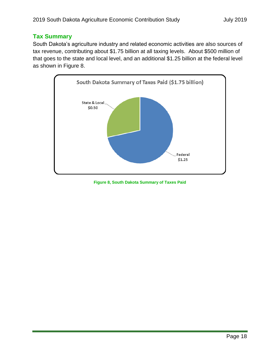#### <span id="page-17-0"></span>**Tax Summary**

South Dakota's agriculture industry and related economic activities are also sources of tax revenue, contributing about \$1.75 billion at all taxing levels. About \$500 million of that goes to the state and local level, and an additional \$1.25 billion at the federal level as shown in [Figure 8.](#page-17-1)



<span id="page-17-1"></span>**Figure 8, South Dakota Summary of Taxes Paid**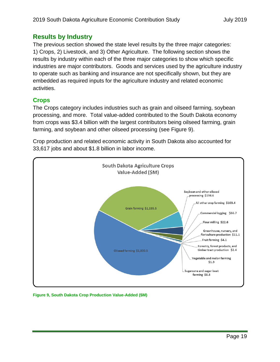## <span id="page-18-0"></span>**Results by Industry**

The previous section showed the state level results by the three major categories: 1) Crops, 2) Livestock, and 3) Other Agriculture. The following section shows the results by industry within each of the three major categories to show which specific industries are major contributors. Goods and services used by the agriculture industry to operate such as banking and insurance are not specifically shown, but they are embedded as required inputs for the agriculture industry and related economic activities.

### <span id="page-18-1"></span>**Crops**

The Crops category includes industries such as grain and oilseed farming, soybean processing, and more. Total value-added contributed to the South Dakota economy from crops was \$3.4 billion with the largest contributors being oilseed farming, grain farming, and soybean and other oilseed processing (see [Figure 9\)](#page-18-2).

Crop production and related economic activity in South Dakota also accounted for 33,617 jobs and about \$1.8 billion in labor income.



<span id="page-18-2"></span>**Figure 9, South Dakota Crop Production Value-Added (\$M)**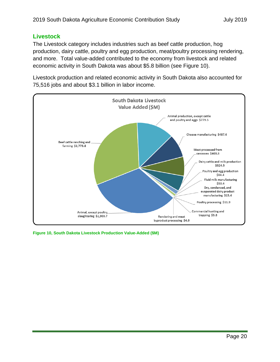#### <span id="page-19-0"></span>**Livestock**

The Livestock category includes industries such as beef cattle production, hog production, dairy cattle, poultry and egg production, meat/poultry processing rendering, and more. Total value-added contributed to the economy from livestock and related economic activity in South Dakota was about \$5.8 billion (see [Figure 10\)](#page-19-1).

Livestock production and related economic activity in South Dakota also accounted for 75,516 jobs and about \$3.1 billion in labor income.



<span id="page-19-1"></span>**Figure 10, South Dakota Livestock Production Value-Added (\$M)**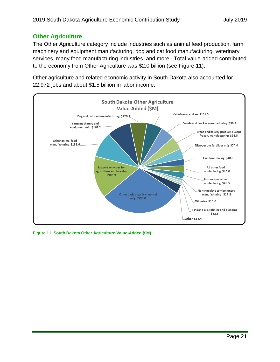#### <span id="page-20-0"></span>**Other Agriculture**

The Other Agriculture category include industries such as animal feed production, farm machinery and equipment manufacturing, dog and cat food manufacturing, veterinary services, many food manufacturing industries, and more. Total value-added contributed to the economy from Other Agriculture was \$2.0 billion (see [Figure 11\)](#page-20-1).

Other agriculture and related economic activity in South Dakota also accounted for 22,972 jobs and about \$1.5 billion in labor income.



<span id="page-20-1"></span>**Figure 11, South Dakota Other Agriculture Value-Added (\$M)**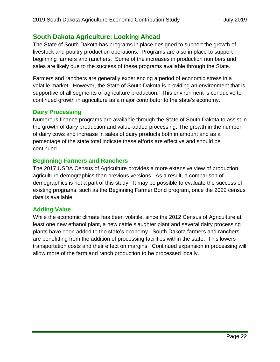## <span id="page-21-0"></span>**South Dakota Agriculture: Looking Ahead**

The State of South Dakota has programs in place designed to support the growth of livestock and poultry production operations. Programs are also in place to support beginning farmers and ranchers. Some of the increases in production numbers and sales are likely due to the success of these programs available through the State.

Farmers and ranchers are generally experiencing a period of economic stress in a volatile market. However, the State of South Dakota is providing an environment that is supportive of all segments of agriculture production. This environment is conducive to continued growth in agriculture as a major contributor to the state's economy.

#### <span id="page-21-1"></span>**Dairy Processing**

Numerous finance programs are available through the State of South Dakota to assist in the growth of dairy production and value-added processing. The growth in the number of dairy cows and increase in sales of dairy products both in amount and as a percentage of the state total indicate these efforts are effective and should be continued.

#### <span id="page-21-2"></span>**Beginning Farmers and Ranchers**

The 2017 USDA Census of Agriculture provides a more extensive view of production agriculture demographics than previous versions. As a result, a comparison of demographics is not a part of this study. It may be possible to evaluate the success of existing programs, such as the Beginning Farmer Bond program, once the 2022 census data is available.

#### <span id="page-21-3"></span>**Adding Value**

While the economic climate has been volatile, since the 2012 Census of Agriculture at least one new ethanol plant, a new cattle slaughter plant and several dairy processing plants have been added to the state's economy. South Dakota farmers and ranchers are benefitting from the addition of processing facilities within the state. This lowers transportation costs and their effect on margins. Continued expansion in processing will allow more of the farm and ranch production to be processed locally.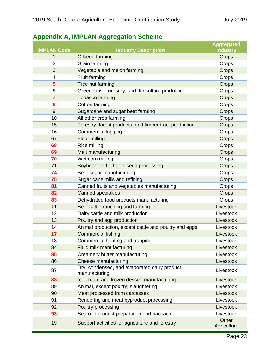# <span id="page-22-0"></span>**Appendix A, IMPLAN Aggregation Scheme**

|                    |                                                               | <b>Aggregated</b>    |
|--------------------|---------------------------------------------------------------|----------------------|
| <b>IMPLAN Code</b> | <b>Industry Description</b>                                   | <b>Industry</b>      |
| 1                  | Oilseed farming                                               | Crops                |
| $\overline{2}$     | Grain farming                                                 | Crops                |
| 3                  | Vegetable and melon farming                                   | Crops                |
| 4                  | Fruit farming                                                 | Crops                |
| 5                  | Tree nut farming                                              | Crops                |
| 6                  | Greenhouse, nursery, and floriculture production              | Crops                |
| $\overline{7}$     | <b>Tobacco farming</b>                                        | Crops                |
| 8                  | Cotton farming                                                | Crops                |
| 9                  | Sugarcane and sugar beet farming                              | Crops                |
| 10                 | All other crop farming                                        | Crops                |
| 15                 | Forestry, forest products, and timber tract production        | Crops                |
| 16                 | <b>Commercial logging</b>                                     | Crops                |
| 67                 | Flour milling                                                 | Crops                |
| 68                 | Rice milling                                                  | Crops                |
| 69                 | Malt manufacturing                                            | Crops                |
| 70                 | Wet corn milling                                              | Crops                |
| 71                 | Soybean and other oilseed processing                          | Crops                |
| 74                 | Beet sugar manufacturing                                      | Crops                |
| 75                 | Sugar cane mills and refining                                 | Crops                |
| 81                 | Canned fruits and vegetables manufacturing                    | Crops                |
| 82                 | <b>Canned specialties</b>                                     | Crops                |
| 83                 | Dehydrated food products manufacturing                        | Crops                |
| 11                 | Beef cattle ranching and farming                              | Livestock            |
| 12                 | Dairy cattle and milk production                              | Livestock            |
| 13                 | Poultry and egg production                                    | Livestock            |
| 14                 | Animal production, except cattle and poultry and eggs         | Livestock            |
| 17                 | <b>Commercial fishing</b>                                     | Livestock            |
| 18                 | Commercial hunting and trapping                               | Livestock            |
| 84                 | Fluid milk manufacturing                                      | Livestock            |
| 85                 | Creamery butter manufacturing                                 | Livestock            |
| 86                 | <b>Cheese manufacturing</b>                                   | Livestock            |
| 87                 | Dry, condensed, and evaporated dairy product<br>manufacturing | Livestock            |
| 88                 | Ice cream and frozen dessert manufacturing                    | Livestock            |
| 89                 | Animal, except poultry, slaughtering                          | Livestock            |
| 90                 | Meat processed from carcasses                                 | Livestock            |
| 91                 | Rendering and meat byproduct processing                       | Livestock            |
| 92                 | Poultry processing                                            | Livestock            |
| 93                 | Seafood product preparation and packaging                     | Livestock            |
| 19                 | Support activities for agriculture and forestry               | Other<br>Agriculture |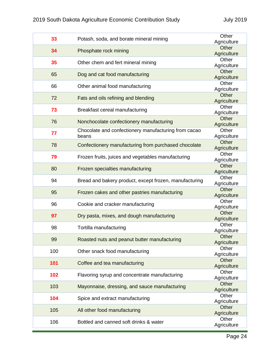| 33  | Potash, soda, and borate mineral mining                | Other<br>Agriculture |
|-----|--------------------------------------------------------|----------------------|
| 34  | Phosphate rock mining                                  | Other                |
|     |                                                        | Agriculture          |
| 35  | Other chem and fert mineral mining                     | Other                |
|     |                                                        | Agriculture          |
| 65  | Dog and cat food manufacturing                         | Other                |
|     |                                                        | Agriculture          |
| 66  | Other animal food manufacturing                        | Other                |
|     |                                                        | Agriculture<br>Other |
| 72  | Fats and oils refining and blending                    | Agriculture          |
|     |                                                        | Other                |
| 73  | Breakfast cereal manufacturing                         | Agriculture          |
|     |                                                        | Other                |
| 76  | Nonchocolate confectionery manufacturing               | Agriculture          |
|     | Chocolate and confectionery manufacturing from cacao   | Other                |
| 77  | beans                                                  | Agriculture          |
| 78  | Confectionery manufacturing from purchased chocolate   | Other                |
|     |                                                        | Agriculture          |
| 79  | Frozen fruits, juices and vegetables manufacturing     | Other                |
|     |                                                        | Agriculture          |
| 80  | Frozen specialties manufacturing                       | Other                |
|     |                                                        | Agriculture          |
| 94  | Bread and bakery product, except frozen, manufacturing | Other<br>Agriculture |
|     |                                                        | Other                |
| 95  | Frozen cakes and other pastries manufacturing          | Agriculture          |
|     |                                                        | Other                |
| 96  | Cookie and cracker manufacturing                       | Agriculture          |
|     |                                                        | Other                |
| 97  | Dry pasta, mixes, and dough manufacturing              | Agriculture          |
| 98  | Tortilla manufacturing                                 | Other                |
|     |                                                        | Agriculture          |
| 99  | Roasted nuts and peanut butter manufacturing           | Other                |
|     |                                                        | Agriculture          |
| 100 | Other snack food manufacturing                         | Other                |
|     |                                                        | Agriculture<br>Other |
| 101 | Coffee and tea manufacturing                           | Agriculture          |
|     |                                                        | Other                |
| 102 | Flavoring syrup and concentrate manufacturing          | Agriculture          |
|     |                                                        | Other                |
| 103 | Mayonnaise, dressing, and sauce manufacturing          | Agriculture          |
|     |                                                        | Other                |
| 104 | Spice and extract manufacturing                        | Agriculture          |
| 105 | All other food manufacturing                           | Other                |
|     |                                                        | Agriculture          |
| 106 | Bottled and canned soft drinks & water                 | Other                |
|     |                                                        | Agriculture          |